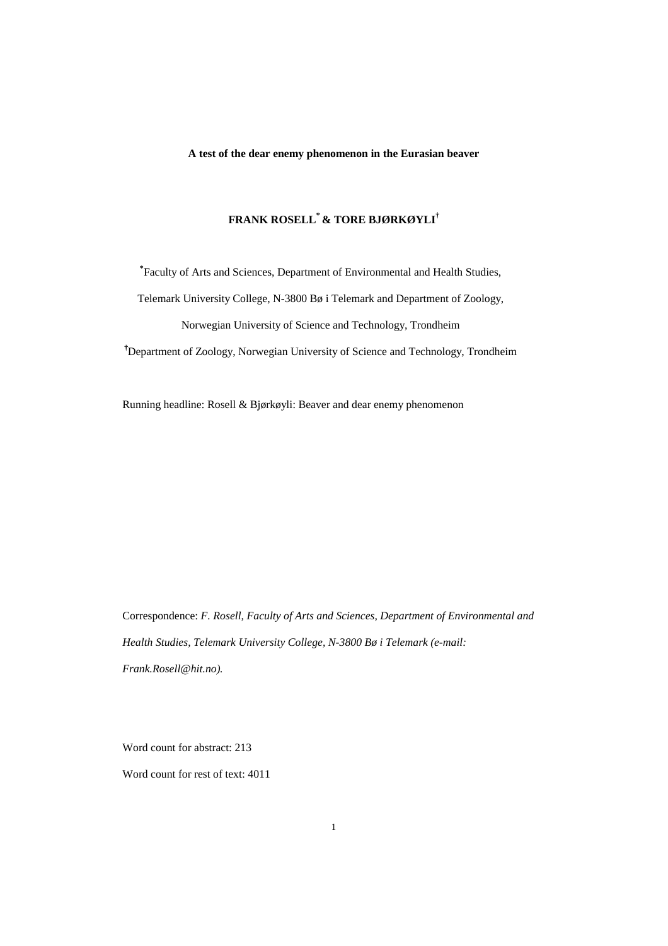## **A test of the dear enemy phenomenon in the Eurasian beaver**

## **FRANK ROSELL\* & TORE BJØRKØYLI†**

**\*** Faculty of Arts and Sciences, Department of Environmental and Health Studies, Telemark University College, N-3800 Bø i Telemark and Department of Zoology, Norwegian University of Science and Technology, Trondheim

**†** Department of Zoology, Norwegian University of Science and Technology, Trondheim

Running headline: Rosell & Bjørkøyli: Beaver and dear enemy phenomenon

Correspondence: *F. Rosell, Faculty of Arts and Sciences, Department of Environmental and Health Studies, Telemark University College, N-3800 Bø i Telemark (e-mail: Frank.Rosell@hit.no).*

Word count for abstract: 213

Word count for rest of text: 4011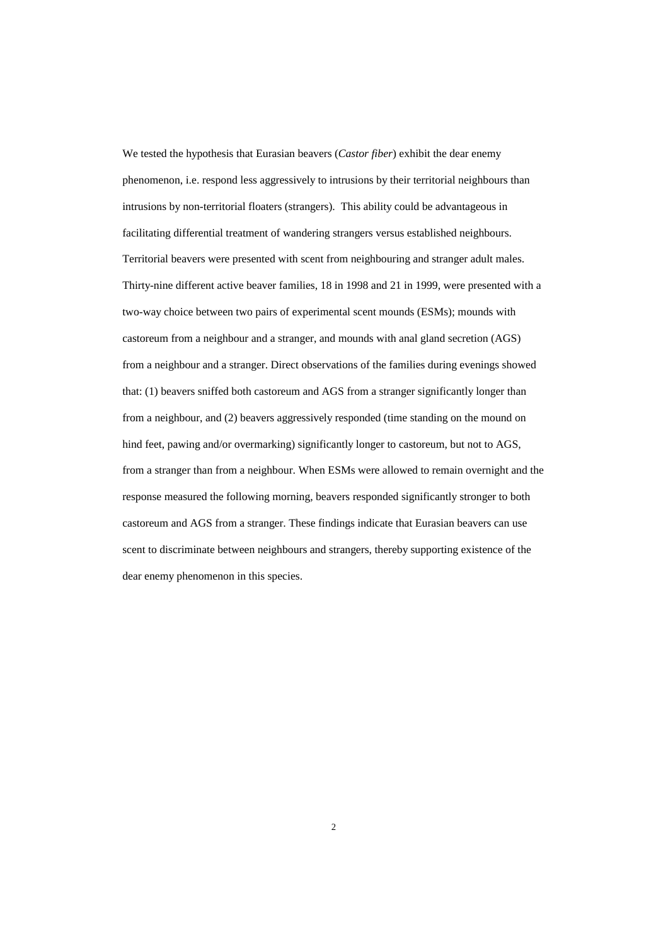We tested the hypothesis that Eurasian beavers (*Castor fiber*) exhibit the dear enemy phenomenon, i.e. respond less aggressively to intrusions by their territorial neighbours than intrusions by non-territorial floaters (strangers). This ability could be advantageous in facilitating differential treatment of wandering strangers versus established neighbours. Territorial beavers were presented with scent from neighbouring and stranger adult males. Thirty-nine different active beaver families, 18 in 1998 and 21 in 1999, were presented with a two-way choice between two pairs of experimental scent mounds (ESMs); mounds with castoreum from a neighbour and a stranger, and mounds with anal gland secretion (AGS) from a neighbour and a stranger. Direct observations of the families during evenings showed that: (1) beavers sniffed both castoreum and AGS from a stranger significantly longer than from a neighbour, and (2) beavers aggressively responded (time standing on the mound on hind feet, pawing and/or overmarking) significantly longer to castoreum, but not to AGS, from a stranger than from a neighbour. When ESMs were allowed to remain overnight and the response measured the following morning, beavers responded significantly stronger to both castoreum and AGS from a stranger. These findings indicate that Eurasian beavers can use scent to discriminate between neighbours and strangers, thereby supporting existence of the dear enemy phenomenon in this species.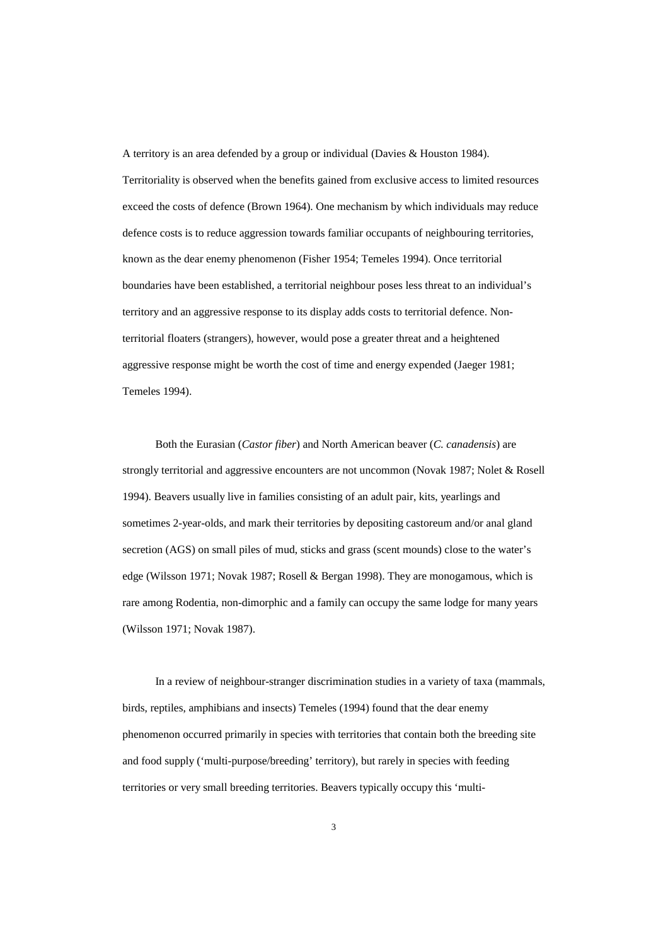A territory is an area defended by a group or individual (Davies & Houston 1984). Territoriality is observed when the benefits gained from exclusive access to limited resources exceed the costs of defence (Brown 1964). One mechanism by which individuals may reduce defence costs is to reduce aggression towards familiar occupants of neighbouring territories, known as the dear enemy phenomenon (Fisher 1954; Temeles 1994). Once territorial boundaries have been established, a territorial neighbour poses less threat to an individual's territory and an aggressive response to its display adds costs to territorial defence. Nonterritorial floaters (strangers), however, would pose a greater threat and a heightened aggressive response might be worth the cost of time and energy expended (Jaeger 1981; Temeles 1994).

Both the Eurasian (*Castor fiber*) and North American beaver (*C. canadensis*) are strongly territorial and aggressive encounters are not uncommon (Novak 1987; Nolet & Rosell 1994). Beavers usually live in families consisting of an adult pair, kits, yearlings and sometimes 2-year-olds, and mark their territories by depositing castoreum and/or anal gland secretion (AGS) on small piles of mud, sticks and grass (scent mounds) close to the water's edge (Wilsson 1971; Novak 1987; Rosell & Bergan 1998). They are monogamous, which is rare among Rodentia, non-dimorphic and a family can occupy the same lodge for many years (Wilsson 1971; Novak 1987).

In a review of neighbour-stranger discrimination studies in a variety of taxa (mammals, birds, reptiles, amphibians and insects) Temeles (1994) found that the dear enemy phenomenon occurred primarily in species with territories that contain both the breeding site and food supply ('multi-purpose/breeding' territory), but rarely in species with feeding territories or very small breeding territories. Beavers typically occupy this 'multi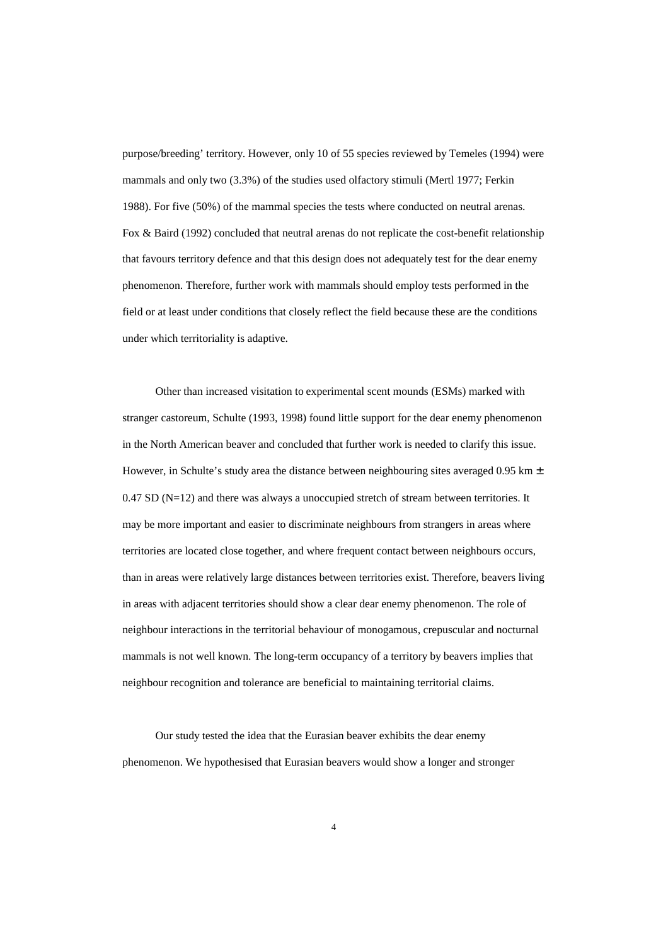purpose/breeding' territory. However, only 10 of 55 species reviewed by Temeles (1994) were mammals and only two (3.3%) of the studies used olfactory stimuli (Mertl 1977; Ferkin 1988). For five (50%) of the mammal species the tests where conducted on neutral arenas. Fox & Baird (1992) concluded that neutral arenas do not replicate the cost-benefit relationship that favours territory defence and that this design does not adequately test for the dear enemy phenomenon. Therefore, further work with mammals should employ tests performed in the field or at least under conditions that closely reflect the field because these are the conditions under which territoriality is adaptive.

Other than increased visitation to experimental scent mounds (ESMs) marked with stranger castoreum, Schulte (1993, 1998) found little support for the dear enemy phenomenon in the North American beaver and concluded that further work is needed to clarify this issue. However, in Schulte's study area the distance between neighbouring sites averaged 0.95 km  $\pm$  $0.47$  SD ( $N=12$ ) and there was always a unoccupied stretch of stream between territories. It may be more important and easier to discriminate neighbours from strangers in areas where territories are located close together, and where frequent contact between neighbours occurs, than in areas were relatively large distances between territories exist. Therefore, beavers living in areas with adjacent territories should show a clear dear enemy phenomenon. The role of neighbour interactions in the territorial behaviour of monogamous, crepuscular and nocturnal mammals is not well known. The long-term occupancy of a territory by beavers implies that neighbour recognition and tolerance are beneficial to maintaining territorial claims.

Our study tested the idea that the Eurasian beaver exhibits the dear enemy phenomenon. We hypothesised that Eurasian beavers would show a longer and stronger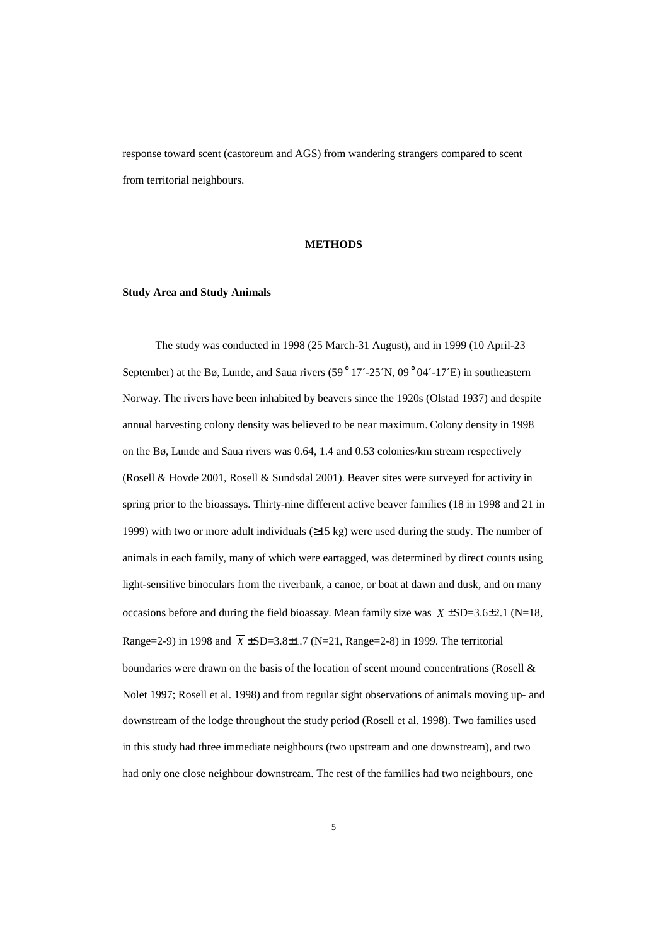response toward scent (castoreum and AGS) from wandering strangers compared to scent from territorial neighbours.

### **METHODS**

#### **Study Area and Study Animals**

The study was conducted in 1998 (25 March-31 August), and in 1999 (10 April-23 September) at the Bø, Lunde, and Saua rivers  $(59°17' - 25^{\circ}N, 09°04' - 17^{\circ}E)$  in southeastern Norway. The rivers have been inhabited by beavers since the 1920s (Olstad 1937) and despite annual harvesting colony density was believed to be near maximum. Colony density in 1998 on the Bø, Lunde and Saua rivers was 0.64, 1.4 and 0.53 colonies/km stream respectively (Rosell & Hovde 2001, Rosell & Sundsdal 2001). Beaver sites were surveyed for activity in spring prior to the bioassays. Thirty-nine different active beaver families (18 in 1998 and 21 in 1999) with two or more adult individuals  $(\geq 15 \text{ kg})$  were used during the study. The number of animals in each family, many of which were eartagged, was determined by direct counts using light-sensitive binoculars from the riverbank, a canoe, or boat at dawn and dusk, and on many occasions before and during the field bioassay. Mean family size was  $\overline{X}$  ±SD=3.6±2.1 (N=18, Range=2-9) in 1998 and  $\overline{X}$  ±SD=3.8±1.7 (N=21, Range=2-8) in 1999. The territorial boundaries were drawn on the basis of the location of scent mound concentrations (Rosell & Nolet 1997; Rosell et al. 1998) and from regular sight observations of animals moving up- and downstream of the lodge throughout the study period (Rosell et al. 1998). Two families used in this study had three immediate neighbours (two upstream and one downstream), and two had only one close neighbour downstream. The rest of the families had two neighbours, one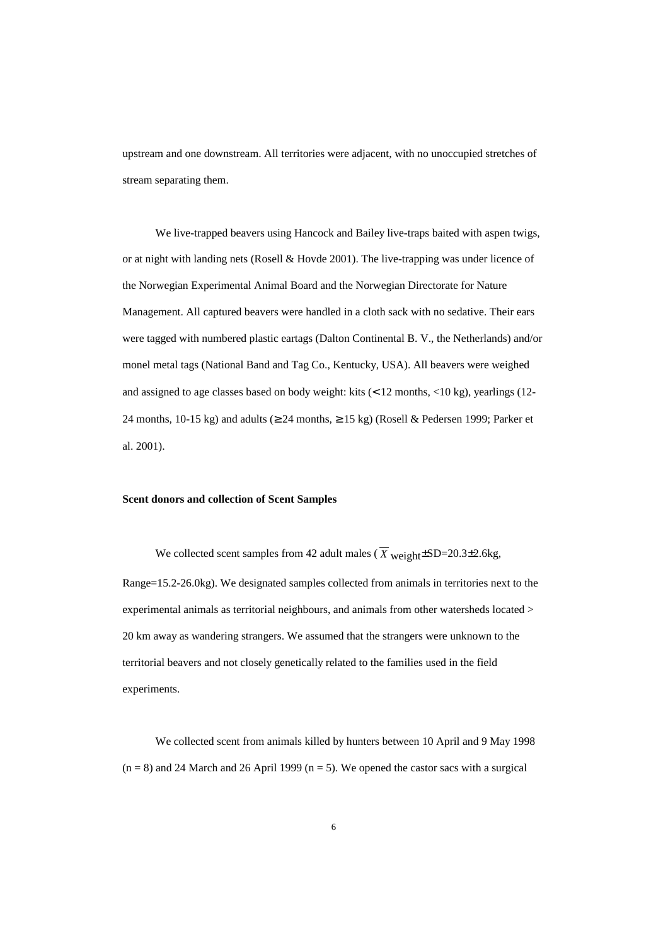upstream and one downstream. All territories were adjacent, with no unoccupied stretches of stream separating them.

We live-trapped beavers using Hancock and Bailey live-traps baited with aspen twigs, or at night with landing nets (Rosell & Hovde 2001). The live-trapping was under licence of the Norwegian Experimental Animal Board and the Norwegian Directorate for Nature Management. All captured beavers were handled in a cloth sack with no sedative. Their ears were tagged with numbered plastic eartags (Dalton Continental B. V., the Netherlands) and/or monel metal tags (National Band and Tag Co., Kentucky, USA). All beavers were weighed and assigned to age classes based on body weight: kits (< 12 months, <10 kg), yearlings (12- 24 months, 10-15 kg) and adults ( $\geq$  24 months,  $\geq$  15 kg) (Rosell & Pedersen 1999; Parker et al. 2001).

### **Scent donors and collection of Scent Samples**

We collected scent samples from 42 adult males ( $\overline{X}$  weight  $\pm$ SD=20.3 $\pm$ 2.6kg, Range=15.2-26.0kg). We designated samples collected from animals in territories next to the experimental animals as territorial neighbours, and animals from other watersheds located > 20 km away as wandering strangers. We assumed that the strangers were unknown to the territorial beavers and not closely genetically related to the families used in the field experiments.

We collected scent from animals killed by hunters between 10 April and 9 May 1998  $(n = 8)$  and 24 March and 26 April 1999  $(n = 5)$ . We opened the castor sacs with a surgical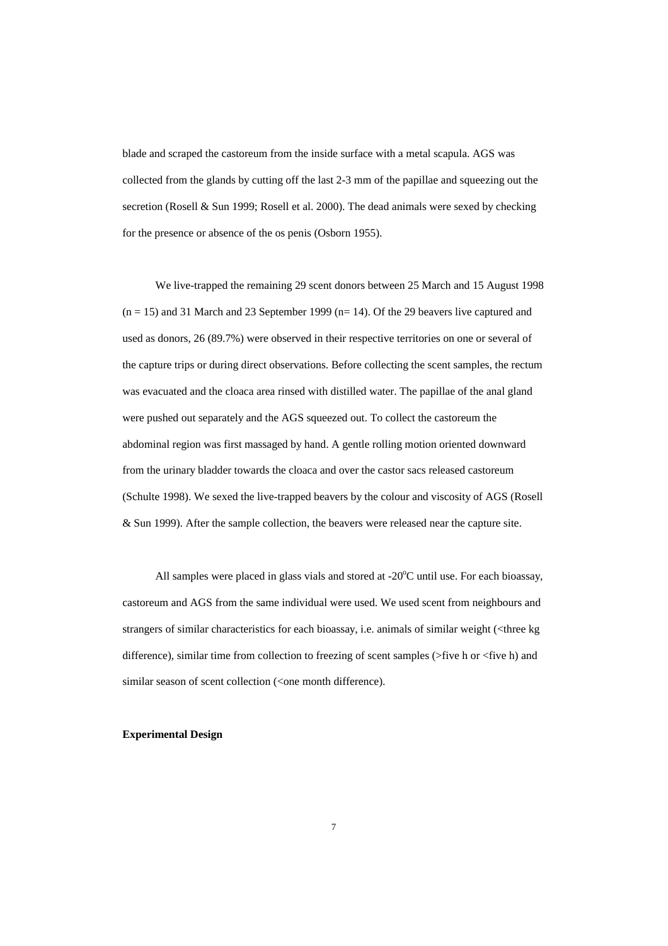blade and scraped the castoreum from the inside surface with a metal scapula. AGS was collected from the glands by cutting off the last 2-3 mm of the papillae and squeezing out the secretion (Rosell & Sun 1999; Rosell et al. 2000). The dead animals were sexed by checking for the presence or absence of the os penis (Osborn 1955).

We live-trapped the remaining 29 scent donors between 25 March and 15 August 1998  $(n = 15)$  and 31 March and 23 September 1999  $(n = 14)$ . Of the 29 beavers live captured and used as donors, 26 (89.7%) were observed in their respective territories on one or several of the capture trips or during direct observations. Before collecting the scent samples, the rectum was evacuated and the cloaca area rinsed with distilled water. The papillae of the anal gland were pushed out separately and the AGS squeezed out. To collect the castoreum the abdominal region was first massaged by hand. A gentle rolling motion oriented downward from the urinary bladder towards the cloaca and over the castor sacs released castoreum (Schulte 1998). We sexed the live-trapped beavers by the colour and viscosity of AGS (Rosell & Sun 1999). After the sample collection, the beavers were released near the capture site.

All samples were placed in glass vials and stored at  $-20^{\circ}$ C until use. For each bioassay, castoreum and AGS from the same individual were used. We used scent from neighbours and strangers of similar characteristics for each bioassay, i.e. animals of similar weight (<three kg difference), similar time from collection to freezing of scent samples (>five h or <five h) and similar season of scent collection (<one month difference).

### **Experimental Design**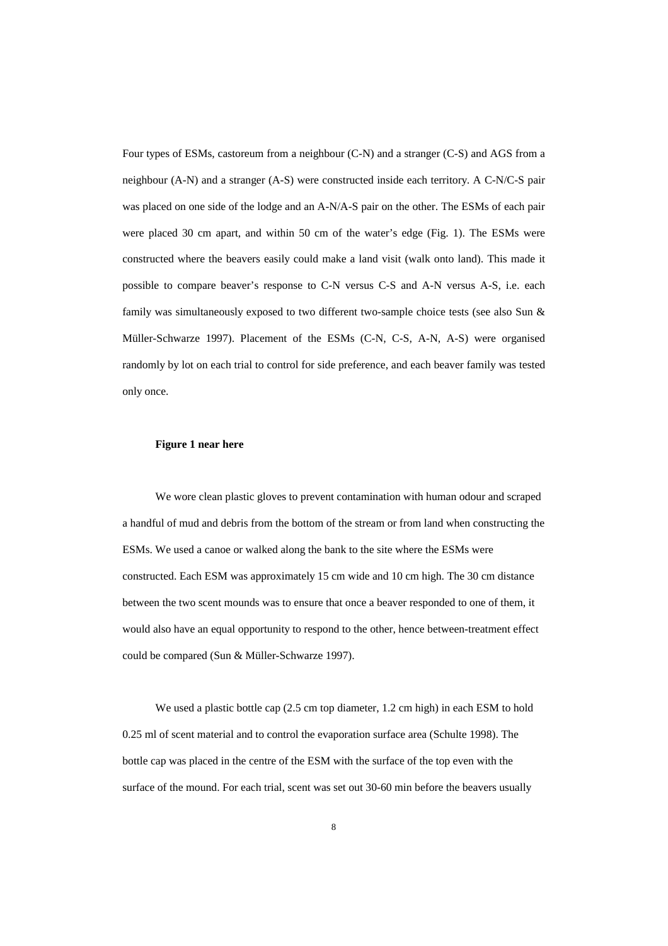Four types of ESMs, castoreum from a neighbour (C-N) and a stranger (C-S) and AGS from a neighbour (A-N) and a stranger (A-S) were constructed inside each territory. A C-N/C-S pair was placed on one side of the lodge and an A-N/A-S pair on the other. The ESMs of each pair were placed 30 cm apart, and within 50 cm of the water's edge (Fig. 1). The ESMs were constructed where the beavers easily could make a land visit (walk onto land). This made it possible to compare beaver's response to C-N versus C-S and A-N versus A-S, i.e. each family was simultaneously exposed to two different two-sample choice tests (see also Sun & Müller-Schwarze 1997). Placement of the ESMs (C-N, C-S, A-N, A-S) were organised randomly by lot on each trial to control for side preference, and each beaver family was tested only once.

#### **Figure 1 near here**

We wore clean plastic gloves to prevent contamination with human odour and scraped a handful of mud and debris from the bottom of the stream or from land when constructing the ESMs. We used a canoe or walked along the bank to the site where the ESMs were constructed. Each ESM was approximately 15 cm wide and 10 cm high. The 30 cm distance between the two scent mounds was to ensure that once a beaver responded to one of them, it would also have an equal opportunity to respond to the other, hence between-treatment effect could be compared (Sun & Müller-Schwarze 1997).

We used a plastic bottle cap (2.5 cm top diameter, 1.2 cm high) in each ESM to hold 0.25 ml of scent material and to control the evaporation surface area (Schulte 1998). The bottle cap was placed in the centre of the ESM with the surface of the top even with the surface of the mound. For each trial, scent was set out 30-60 min before the beavers usually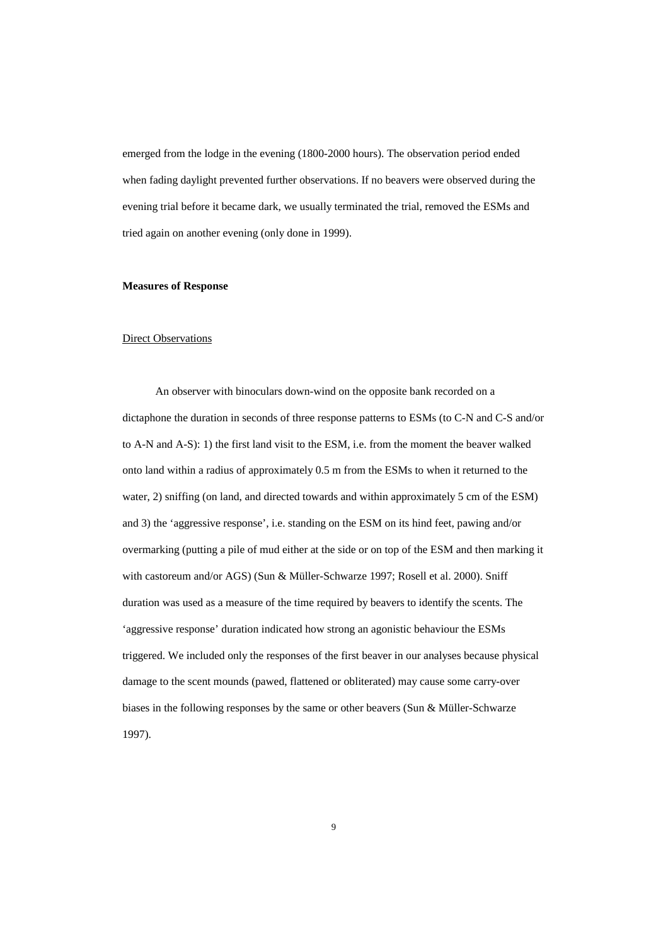emerged from the lodge in the evening (1800-2000 hours). The observation period ended when fading daylight prevented further observations. If no beavers were observed during the evening trial before it became dark, we usually terminated the trial, removed the ESMs and tried again on another evening (only done in 1999).

#### **Measures of Response**

### Direct Observations

An observer with binoculars down-wind on the opposite bank recorded on a dictaphone the duration in seconds of three response patterns to ESMs (to C-N and C-S and/or to A-N and A-S): 1) the first land visit to the ESM, i.e. from the moment the beaver walked onto land within a radius of approximately 0.5 m from the ESMs to when it returned to the water, 2) sniffing (on land, and directed towards and within approximately 5 cm of the ESM) and 3) the 'aggressive response', i.e. standing on the ESM on its hind feet, pawing and/or overmarking (putting a pile of mud either at the side or on top of the ESM and then marking it with castoreum and/or AGS) (Sun & Müller-Schwarze 1997; Rosell et al. 2000). Sniff duration was used as a measure of the time required by beavers to identify the scents. The 'aggressive response' duration indicated how strong an agonistic behaviour the ESMs triggered. We included only the responses of the first beaver in our analyses because physical damage to the scent mounds (pawed, flattened or obliterated) may cause some carry-over biases in the following responses by the same or other beavers (Sun & Müller-Schwarze 1997).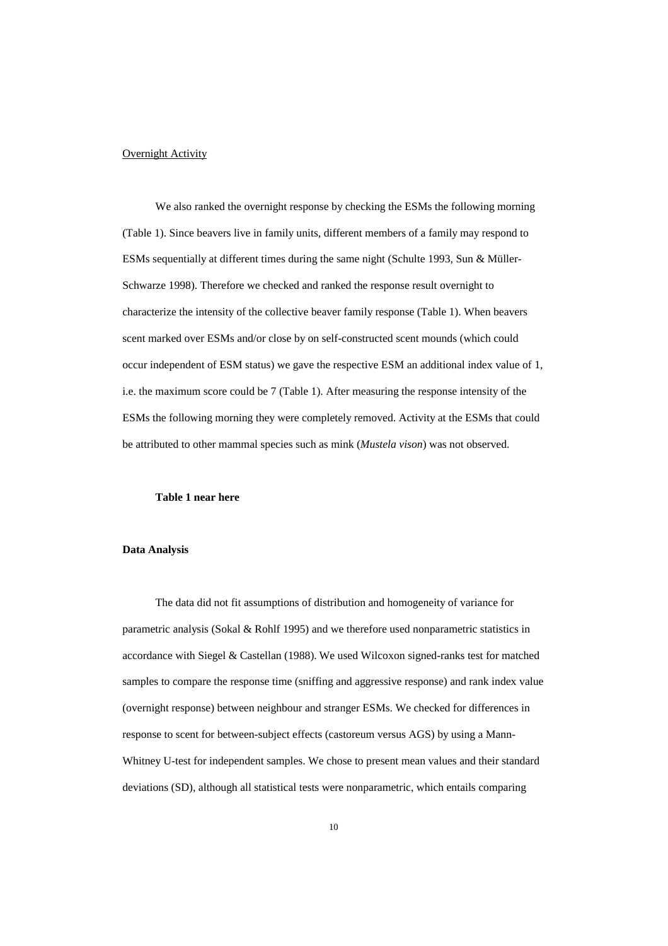### **Overnight Activity**

We also ranked the overnight response by checking the ESMs the following morning (Table 1). Since beavers live in family units, different members of a family may respond to ESMs sequentially at different times during the same night (Schulte 1993, Sun & Müller-Schwarze 1998). Therefore we checked and ranked the response result overnight to characterize the intensity of the collective beaver family response (Table 1). When beavers scent marked over ESMs and/or close by on self-constructed scent mounds (which could occur independent of ESM status) we gave the respective ESM an additional index value of 1, i.e. the maximum score could be 7 (Table 1). After measuring the response intensity of the ESMs the following morning they were completely removed. Activity at the ESMs that could be attributed to other mammal species such as mink (*Mustela vison*) was not observed.

#### **Table 1 near here**

### **Data Analysis**

The data did not fit assumptions of distribution and homogeneity of variance for parametric analysis (Sokal & Rohlf 1995) and we therefore used nonparametric statistics in accordance with Siegel & Castellan (1988). We used Wilcoxon signed-ranks test for matched samples to compare the response time (sniffing and aggressive response) and rank index value (overnight response) between neighbour and stranger ESMs. We checked for differences in response to scent for between-subject effects (castoreum versus AGS) by using a Mann-Whitney U-test for independent samples. We chose to present mean values and their standard deviations (SD), although all statistical tests were nonparametric, which entails comparing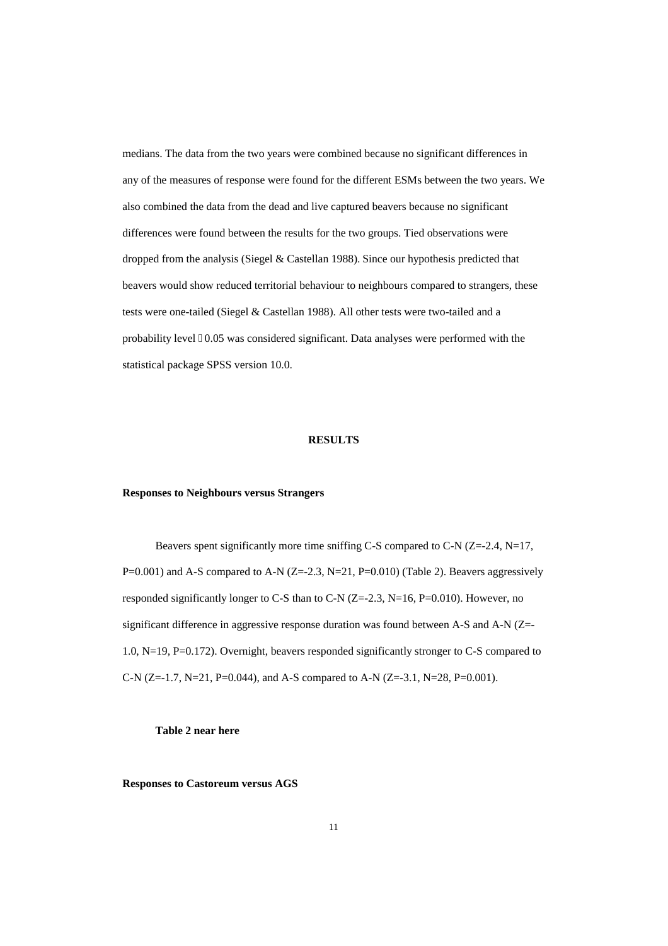medians. The data from the two years were combined because no significant differences in any of the measures of response were found for the different ESMs between the two years. We also combined the data from the dead and live captured beavers because no significant differences were found between the results for the two groups. Tied observations were dropped from the analysis (Siegel & Castellan 1988). Since our hypothesis predicted that beavers would show reduced territorial behaviour to neighbours compared to strangers, these tests were one-tailed (Siegel & Castellan 1988). All other tests were two-tailed and a probability level  $\ddot{\text{O}}0.05$  was considered significant. Data analyses were performed with the statistical package SPSS version 10.0.

### **RESULTS**

#### **Responses to Neighbours versus Strangers**

Beavers spent significantly more time sniffing C-S compared to C-N (Z=-2.4, N=17,  $P=0.001$ ) and A-S compared to A-N (Z=-2.3, N=21, P=0.010) (Table 2). Beavers aggressively responded significantly longer to C-S than to C-N  $(Z=2.3, N=16, P=0.010)$ . However, no significant difference in aggressive response duration was found between A-S and A-N (Z=- 1.0, N=19, P=0.172). Overnight, beavers responded significantly stronger to C-S compared to C-N (Z=-1.7, N=21, P=0.044), and A-S compared to A-N (Z=-3.1, N=28, P=0.001).

### **Table 2 near here**

**Responses to Castoreum versus AGS**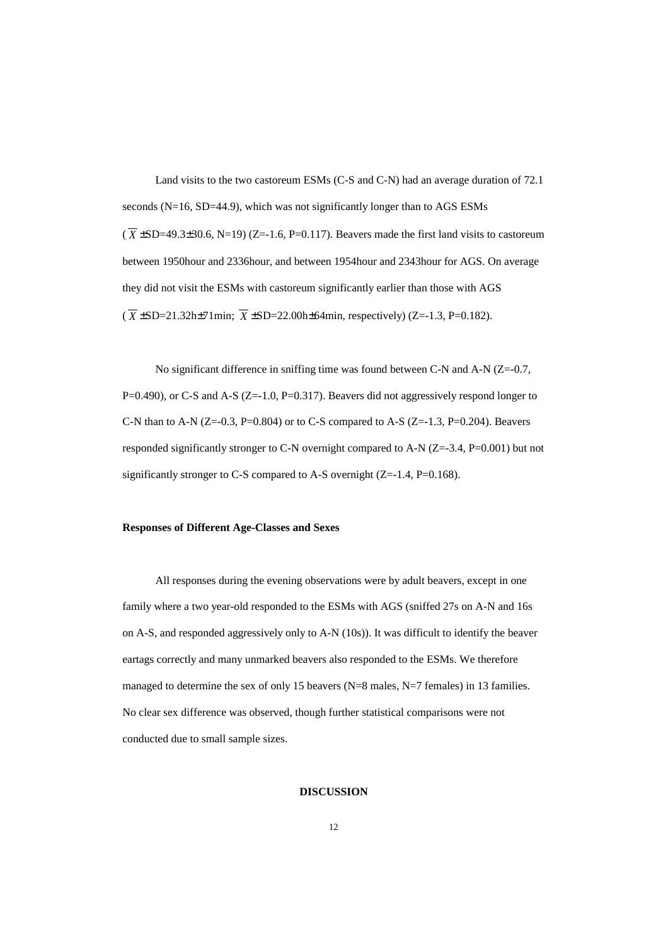Land visits to the two castoreum ESMs (C-S and C-N) had an average duration of 72.1 seconds (N=16, SD=44.9), which was not significantly longer than to AGS ESMs  $(\overline{X} \pm SD=49.3\pm30.6, N=19)$  (Z=-1.6, P=0.117). Beavers made the first land visits to castoreum between 1950hour and 2336hour, and between 1954hour and 2343hour for AGS. On average they did not visit the ESMs with castoreum significantly earlier than those with AGS  $(\overline{X} \pm SD = 21.32h\pm 71m$ in;  $\overline{X} \pm SD = 22.00h\pm 64m$ in, respectively) (Z=-1.3, P=0.182).

No significant difference in sniffing time was found between C-N and A-N (Z=-0.7, P=0.490), or C-S and A-S (Z=-1.0, P=0.317). Beavers did not aggressively respond longer to C-N than to A-N ( $Z=-0.3$ ,  $P=0.804$ ) or to C-S compared to A-S ( $Z=-1.3$ ,  $P=0.204$ ). Beavers responded significantly stronger to C-N overnight compared to A-N (Z=-3.4, P=0.001) but not significantly stronger to C-S compared to A-S overnight (Z=-1.4, P=0.168).

### **Responses of Different Age-Classes and Sexes**

All responses during the evening observations were by adult beavers, except in one family where a two year-old responded to the ESMs with AGS (sniffed 27s on A-N and 16s on A-S, and responded aggressively only to A-N (10s)). It was difficult to identify the beaver eartags correctly and many unmarked beavers also responded to the ESMs. We therefore managed to determine the sex of only 15 beavers (N=8 males, N=7 females) in 13 families. No clear sex difference was observed, though further statistical comparisons were not conducted due to small sample sizes.

### **DISCUSSION**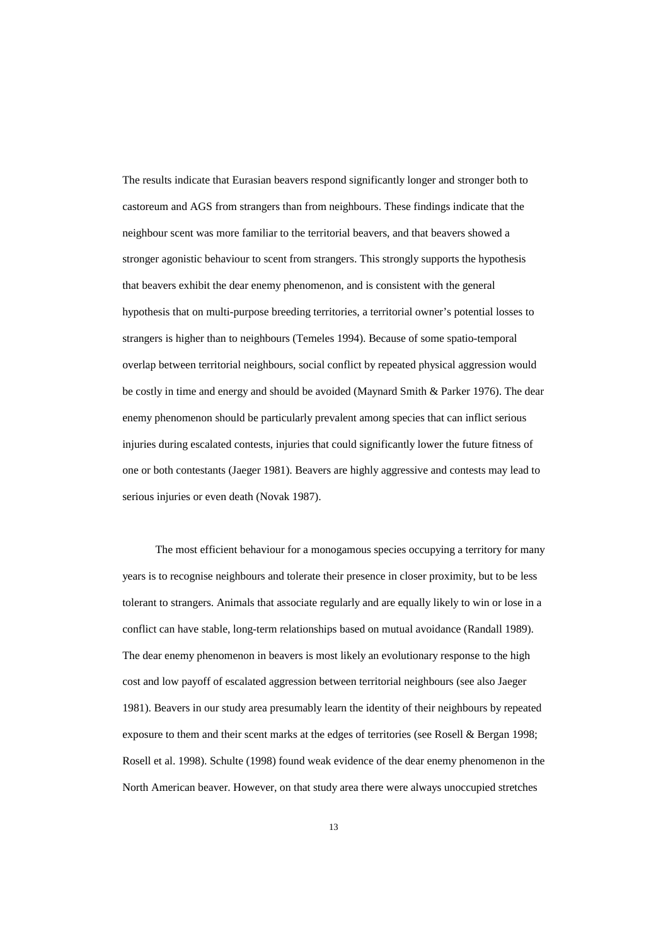The results indicate that Eurasian beavers respond significantly longer and stronger both to castoreum and AGS from strangers than from neighbours. These findings indicate that the neighbour scent was more familiar to the territorial beavers, and that beavers showed a stronger agonistic behaviour to scent from strangers. This strongly supports the hypothesis that beavers exhibit the dear enemy phenomenon, and is consistent with the general hypothesis that on multi-purpose breeding territories, a territorial owner's potential losses to strangers is higher than to neighbours (Temeles 1994). Because of some spatio-temporal overlap between territorial neighbours, social conflict by repeated physical aggression would be costly in time and energy and should be avoided (Maynard Smith & Parker 1976). The dear enemy phenomenon should be particularly prevalent among species that can inflict serious injuries during escalated contests, injuries that could significantly lower the future fitness of one or both contestants (Jaeger 1981). Beavers are highly aggressive and contests may lead to serious injuries or even death (Novak 1987).

The most efficient behaviour for a monogamous species occupying a territory for many years is to recognise neighbours and tolerate their presence in closer proximity, but to be less tolerant to strangers. Animals that associate regularly and are equally likely to win or lose in a conflict can have stable, long-term relationships based on mutual avoidance (Randall 1989). The dear enemy phenomenon in beavers is most likely an evolutionary response to the high cost and low payoff of escalated aggression between territorial neighbours (see also Jaeger 1981). Beavers in our study area presumably learn the identity of their neighbours by repeated exposure to them and their scent marks at the edges of territories (see Rosell & Bergan 1998; Rosell et al. 1998). Schulte (1998) found weak evidence of the dear enemy phenomenon in the North American beaver. However, on that study area there were always unoccupied stretches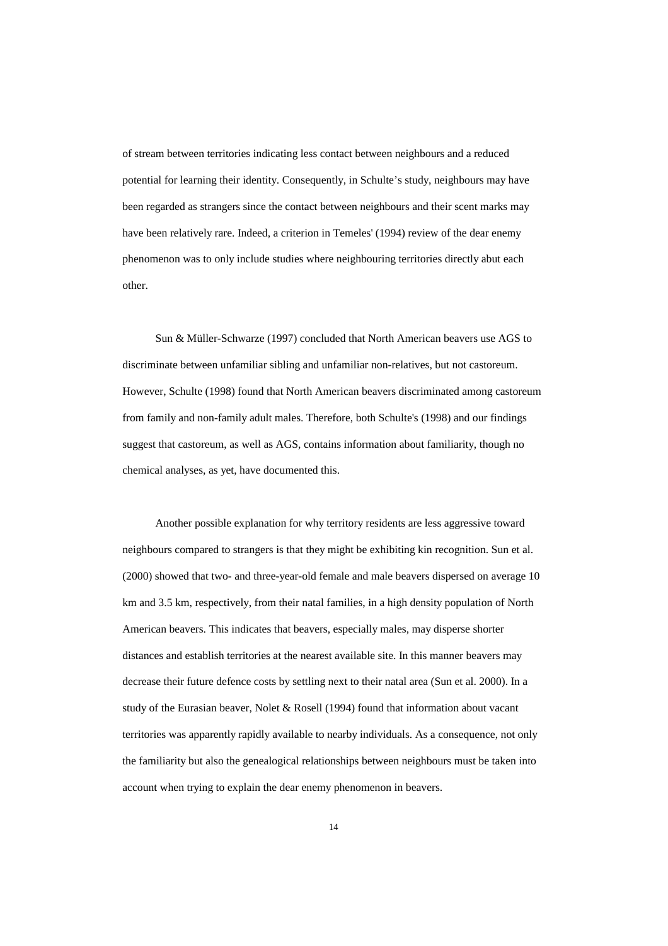of stream between territories indicating less contact between neighbours and a reduced potential for learning their identity. Consequently, in Schulte's study, neighbours may have been regarded as strangers since the contact between neighbours and their scent marks may have been relatively rare. Indeed, a criterion in Temeles' (1994) review of the dear enemy phenomenon was to only include studies where neighbouring territories directly abut each other.

Sun & Müller-Schwarze (1997) concluded that North American beavers use AGS to discriminate between unfamiliar sibling and unfamiliar non-relatives, but not castoreum. However, Schulte (1998) found that North American beavers discriminated among castoreum from family and non-family adult males. Therefore, both Schulte's (1998) and our findings suggest that castoreum, as well as AGS, contains information about familiarity, though no chemical analyses, as yet, have documented this.

Another possible explanation for why territory residents are less aggressive toward neighbours compared to strangers is that they might be exhibiting kin recognition. Sun et al. (2000) showed that two- and three-year-old female and male beavers dispersed on average 10 km and 3.5 km, respectively, from their natal families, in a high density population of North American beavers. This indicates that beavers, especially males, may disperse shorter distances and establish territories at the nearest available site. In this manner beavers may decrease their future defence costs by settling next to their natal area (Sun et al. 2000). In a study of the Eurasian beaver, Nolet & Rosell (1994) found that information about vacant territories was apparently rapidly available to nearby individuals. As a consequence, not only the familiarity but also the genealogical relationships between neighbours must be taken into account when trying to explain the dear enemy phenomenon in beavers.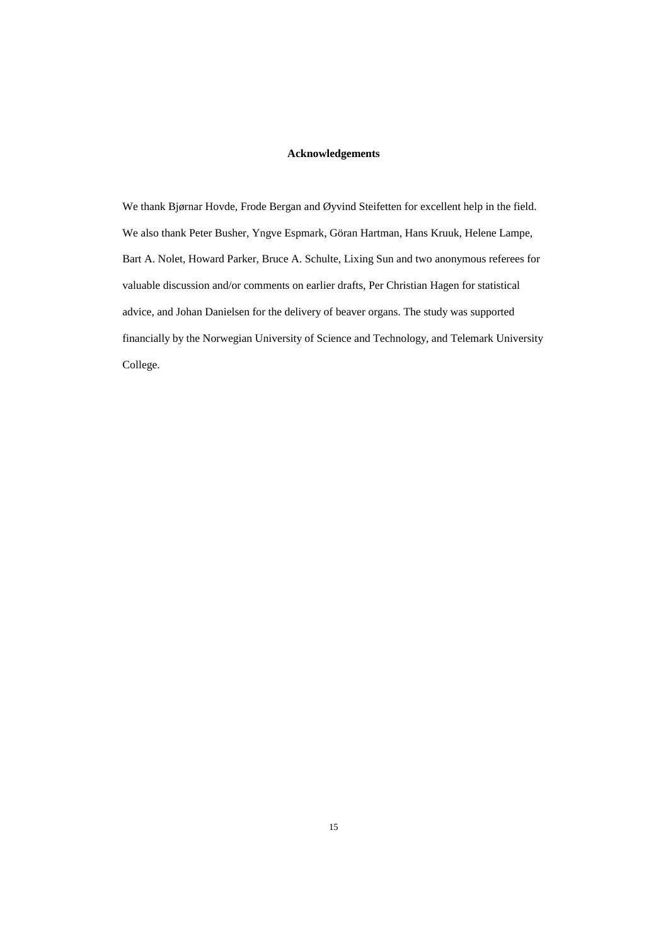## **Acknowledgements**

We thank Bjørnar Hovde, Frode Bergan and Øyvind Steifetten for excellent help in the field. We also thank Peter Busher, Yngve Espmark, Göran Hartman, Hans Kruuk, Helene Lampe, Bart A. Nolet, Howard Parker, Bruce A. Schulte, Lixing Sun and two anonymous referees for valuable discussion and/or comments on earlier drafts, Per Christian Hagen for statistical advice, and Johan Danielsen for the delivery of beaver organs. The study was supported financially by the Norwegian University of Science and Technology, and Telemark University College.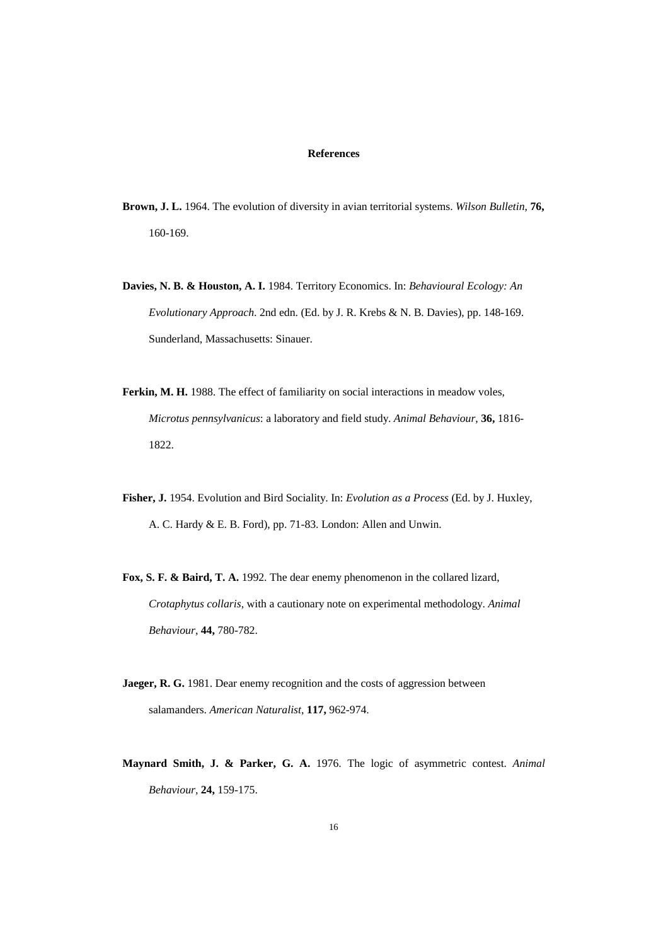### **References**

- **Brown, J. L.** 1964. The evolution of diversity in avian territorial systems. *Wilson Bulletin*, **76,** 160-169.
- **Davies, N. B. & Houston, A. I.** 1984. Territory Economics. In: *Behavioural Ecology: An Evolutionary Approach*. 2nd edn. (Ed. by J. R. Krebs & N. B. Davies), pp. 148-169. Sunderland, Massachusetts: Sinauer.
- **Ferkin, M. H.** 1988. The effect of familiarity on social interactions in meadow voles, *Microtus pennsylvanicus*: a laboratory and field study. *Animal Behaviour*, **36,** 1816- 1822.
- **Fisher, J.** 1954. Evolution and Bird Sociality. In: *Evolution as a Process* (Ed. by J. Huxley, A. C. Hardy & E. B. Ford), pp. 71-83. London: Allen and Unwin.
- **Fox, S. F. & Baird, T. A.** 1992. The dear enemy phenomenon in the collared lizard, *Crotaphytus collaris*, with a cautionary note on experimental methodology. *Animal Behaviour*, **44,** 780-782.
- **Jaeger, R. G.** 1981. Dear enemy recognition and the costs of aggression between salamanders. *American Naturalist*, **117,** 962-974.
- **Maynard Smith, J. & Parker, G. A.** 1976. The logic of asymmetric contest. *Animal Behaviour,* **24,** 159-175.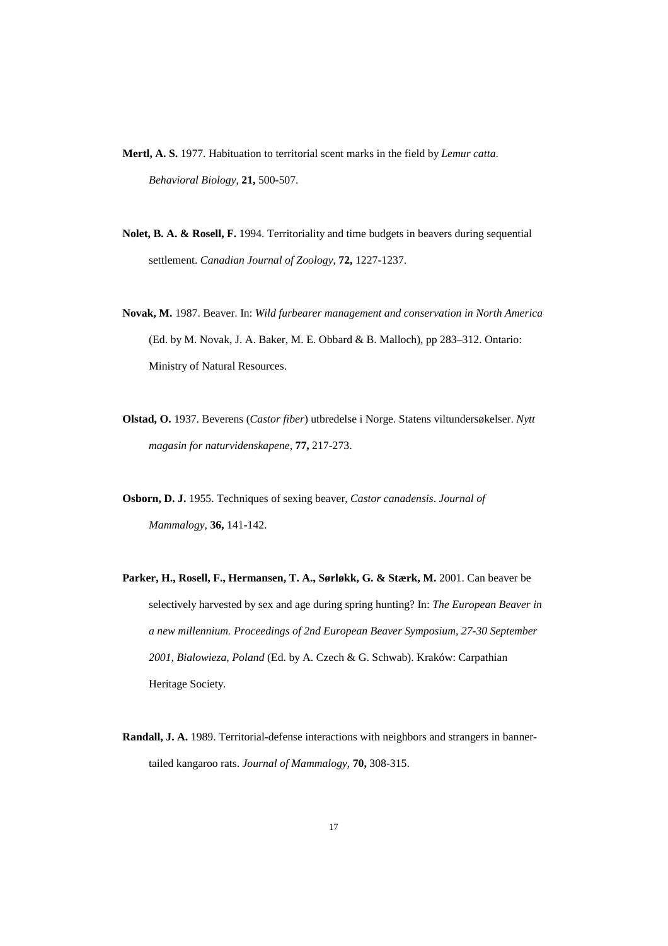**Mertl, A. S.** 1977. Habituation to territorial scent marks in the field by *Lemur catta*. *Behavioral Biology*, **21,** 500-507.

- **Nolet, B. A. & Rosell, F.** 1994. Territoriality and time budgets in beavers during sequential settlement. *Canadian Journal of Zoology*, **72,** 1227-1237.
- **Novak, M.** 1987. Beaver. In: *Wild furbearer management and conservation in North America* (Ed. by M. Novak, J. A. Baker, M. E. Obbard & B. Malloch), pp 283–312. Ontario: Ministry of Natural Resources.
- **Olstad, O.** 1937. Beverens (*Castor fiber*) utbredelse i Norge. Statens viltundersøkelser. *Nytt magasin for naturvidenskapene*, **77,** 217-273.
- **Osborn, D. J.** 1955. Techniques of sexing beaver, *Castor canadensis*. *Journal of Mammalogy*, **36,** 141-142.
- Parker, H., Rosell, F., Hermansen, T. A., Sørløkk, G. & Stærk, M. 2001. Can beaver be selectively harvested by sex and age during spring hunting? In: *The European Beaver in a new millennium. Proceedings of 2nd European Beaver Symposium, 27-30 September 2001, Bialowieza, Poland* (Ed. by A. Czech & G. Schwab). Kraków: Carpathian Heritage Society.
- **Randall, J. A.** 1989. Territorial-defense interactions with neighbors and strangers in bannertailed kangaroo rats. *Journal of Mammalogy*, **70,** 308-315.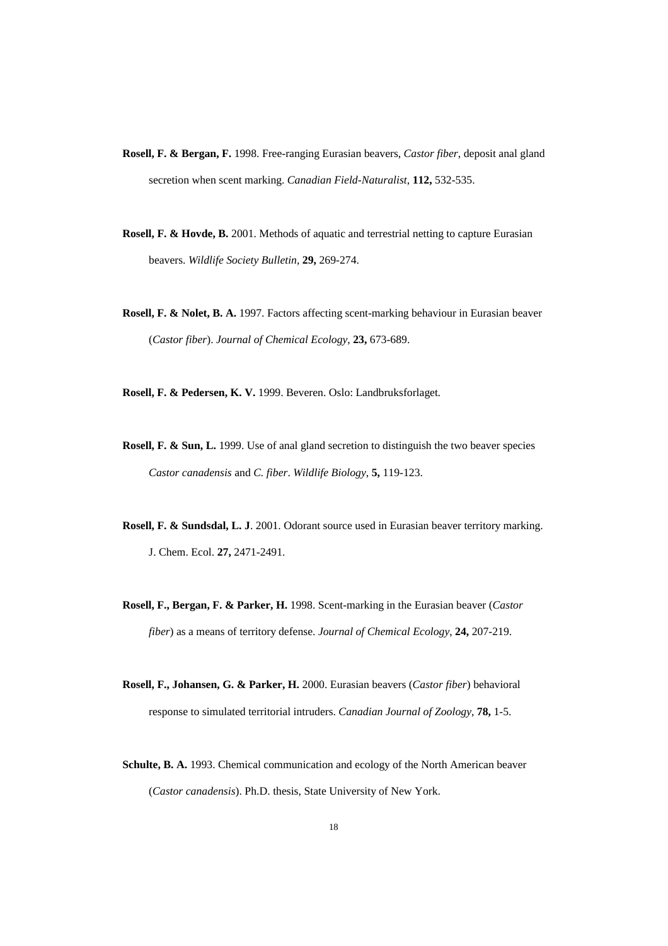- **Rosell, F. & Bergan, F.** 1998. Free-ranging Eurasian beavers, *Castor fiber*, deposit anal gland secretion when scent marking. *Canadian Field-Naturalist*, **112,** 532-535.
- **Rosell, F. & Hovde, B.** 2001. Methods of aquatic and terrestrial netting to capture Eurasian beavers. *Wildlife Society Bulletin*, **29,** 269-274.
- **Rosell, F. & Nolet, B. A.** 1997. Factors affecting scent-marking behaviour in Eurasian beaver (*Castor fiber*). *Journal of Chemical Ecology*, **23,** 673-689.

**Rosell, F. & Pedersen, K. V.** 1999. Beveren. Oslo: Landbruksforlaget*.*

- **Rosell, F. & Sun, L.** 1999. Use of anal gland secretion to distinguish the two beaver species *Castor canadensis* and *C. fiber*. *Wildlife Biology*, **5,** 119-123.
- **Rosell, F. & Sundsdal, L. J**. 2001. Odorant source used in Eurasian beaver territory marking. J. Chem. Ecol. **27,** 2471-2491.
- **Rosell, F., Bergan, F. & Parker, H.** 1998. Scent-marking in the Eurasian beaver (*Castor fiber*) as a means of territory defense. *Journal of Chemical Ecology*, **24,** 207-219.
- **Rosell, F., Johansen, G. & Parker, H.** 2000. Eurasian beavers (*Castor fiber*) behavioral response to simulated territorial intruders. *Canadian Journal of Zoology*, **78,** 1-5.
- **Schulte, B. A.** 1993. Chemical communication and ecology of the North American beaver (*Castor canadensis*). Ph.D. thesis, State University of New York.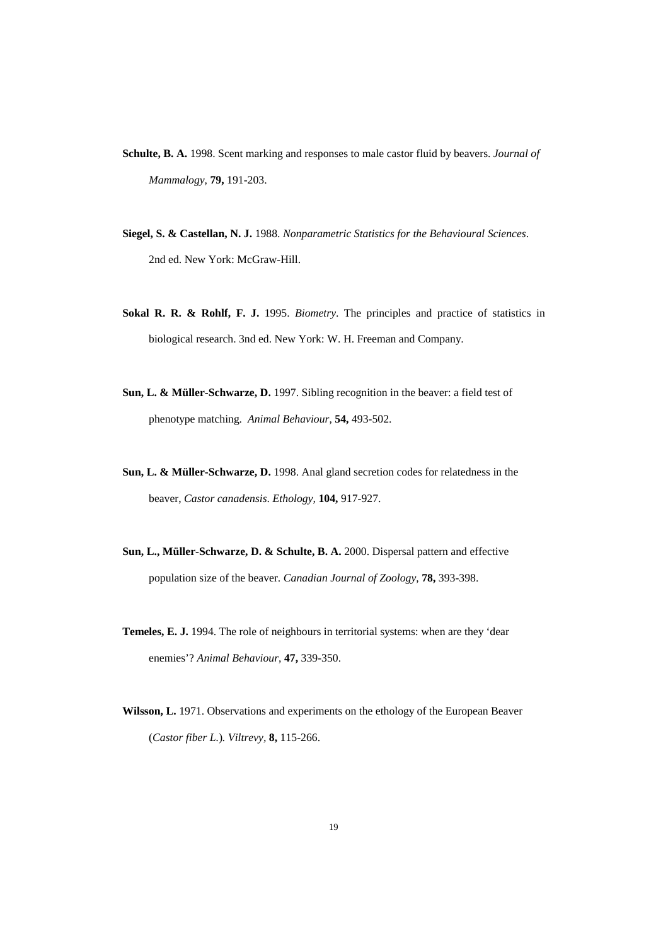- **Schulte, B. A.** 1998. Scent marking and responses to male castor fluid by beavers. *Journal of Mammalogy*, **79,** 191-203.
- **Siegel, S. & Castellan, N. J.** 1988. *Nonparametric Statistics for the Behavioural Sciences*. 2nd ed. New York: McGraw-Hill.
- **Sokal R. R. & Rohlf, F. J.** 1995. *Biometry*. The principles and practice of statistics in biological research. 3nd ed. New York: W. H. Freeman and Company.
- **Sun, L. & Müller-Schwarze, D.** 1997. Sibling recognition in the beaver: a field test of phenotype matching. *Animal Behaviour*, **54,** 493-502.
- **Sun, L. & Müller-Schwarze, D.** 1998. Anal gland secretion codes for relatedness in the beaver, *Castor canadensis*. *Ethology,* **104,** 917-927.
- **Sun, L., Müller-Schwarze, D. & Schulte, B. A.** 2000. Dispersal pattern and effective population size of the beaver. *Canadian Journal of Zoology*, **78,** 393-398.
- **Temeles, E. J.** 1994. The role of neighbours in territorial systems: when are they 'dear enemies'? *Animal Behaviour*, **47,** 339-350.
- **Wilsson, L.** 1971. Observations and experiments on the ethology of the European Beaver (*Castor fiber L.*)*. Viltrevy,* **8,** 115-266.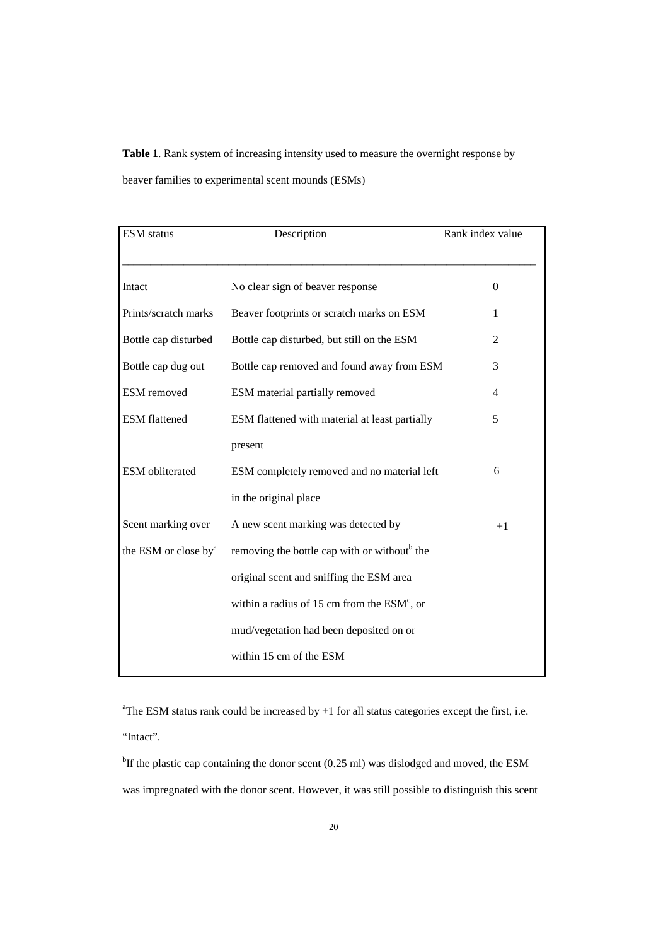**Table 1**. Rank system of increasing intensity used to measure the overnight response by beaver families to experimental scent mounds (ESMs)

| <b>ESM</b> status                | Description                                              | Rank index value |  |
|----------------------------------|----------------------------------------------------------|------------------|--|
| Intact                           | No clear sign of beaver response                         | $\theta$         |  |
| Prints/scratch marks             | Beaver footprints or scratch marks on ESM                | 1                |  |
| Bottle cap disturbed             | Bottle cap disturbed, but still on the ESM               | $\overline{2}$   |  |
| Bottle cap dug out               | Bottle cap removed and found away from ESM               | 3                |  |
| <b>ESM</b> removed               | ESM material partially removed                           | 4                |  |
| <b>ESM</b> flattened             | ESM flattened with material at least partially           | 5                |  |
|                                  | present                                                  |                  |  |
| <b>ESM</b> obliterated           | ESM completely removed and no material left              | 6                |  |
|                                  | in the original place                                    |                  |  |
| Scent marking over               | A new scent marking was detected by                      | $+1$             |  |
| the ESM or close by <sup>a</sup> | removing the bottle cap with or without <sup>b</sup> the |                  |  |
|                                  | original scent and sniffing the ESM area                 |                  |  |
|                                  | within a radius of 15 cm from the $ESMc$ , or            |                  |  |
|                                  | mud/vegetation had been deposited on or                  |                  |  |
|                                  | within 15 cm of the ESM                                  |                  |  |

<sup>a</sup>The ESM status rank could be increased by  $+1$  for all status categories except the first, i.e.

"Intact".

<sup>b</sup>If the plastic cap containing the donor scent  $(0.25 \text{ ml})$  was dislodged and moved, the ESM was impregnated with the donor scent. However, it was still possible to distinguish this scent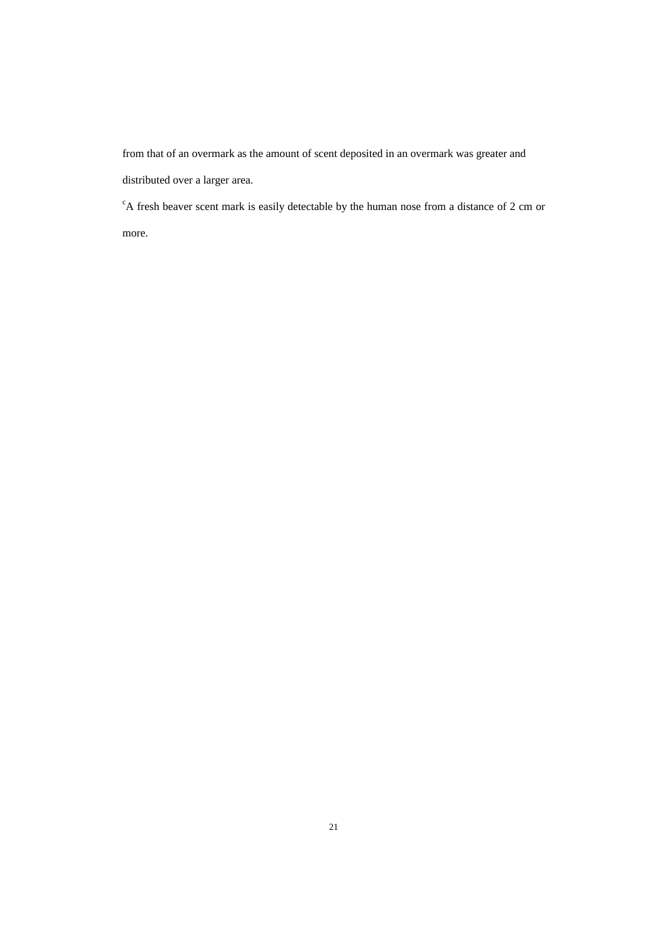from that of an overmark as the amount of scent deposited in an overmark was greater and distributed over a larger area.

<sup>c</sup>A fresh beaver scent mark is easily detectable by the human nose from a distance of 2 cm or more.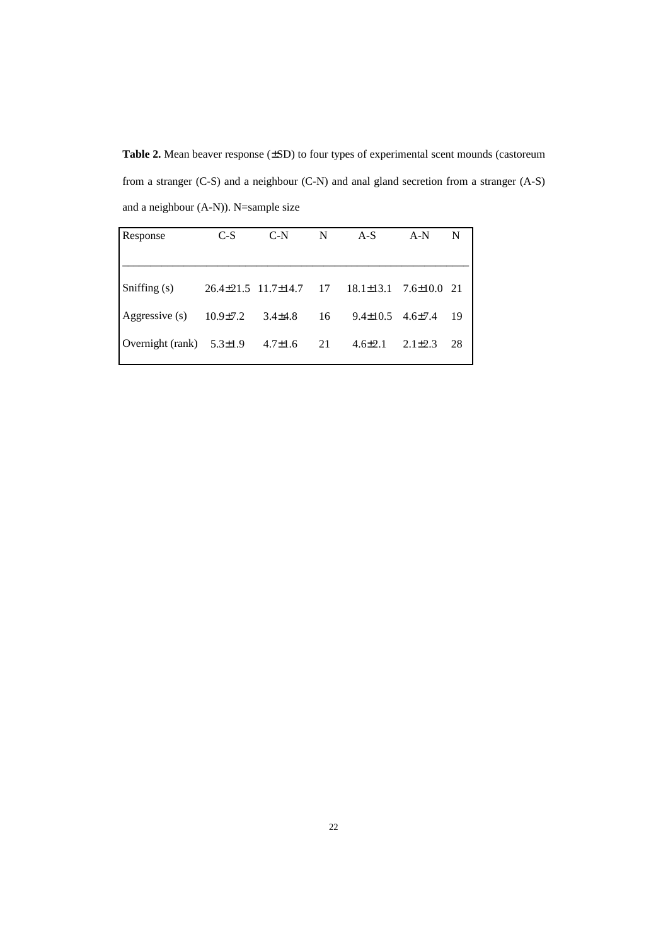Table 2. Mean beaver response ( $\pm$ SD) to four types of experimental scent mounds (castoreum from a stranger (C-S) and a neighbour (C-N) and anal gland secretion from a stranger (A-S) and a neighbour (A-N)). N=sample size

| Response                       | $C-S$                           | $C-N$         | N  | $A-S$           | $A-N$             | N   |
|--------------------------------|---------------------------------|---------------|----|-----------------|-------------------|-----|
|                                |                                 |               |    |                 |                   |     |
| Sniffing (s)                   | $26.4 \pm 21.5$ 11.7 $\pm$ 14.7 |               | 17 | $18.1 \pm 13.1$ | $7.6 \pm 10.0$ 21 |     |
| Aggressive (s)                 | $10.9 \pm 7.2$                  | $3.4 \pm 4.8$ | 16 | $9.4 \pm 10.5$  | $4.6 \pm 7.4$     | -19 |
| Overnight (rank) $5.3 \pm 1.9$ |                                 | $4.7 \pm 1.6$ | 21 | $4.6 \pm 2.1$   | $2.1 \pm 2.3$     | 28  |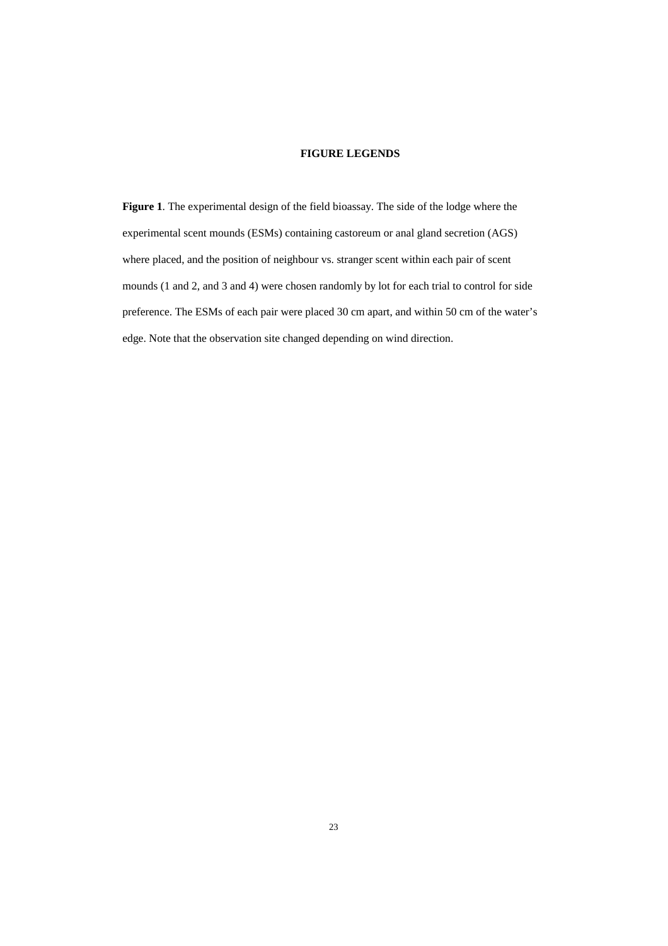### **FIGURE LEGENDS**

**Figure 1**. The experimental design of the field bioassay. The side of the lodge where the experimental scent mounds (ESMs) containing castoreum or anal gland secretion (AGS) where placed, and the position of neighbour vs. stranger scent within each pair of scent mounds (1 and 2, and 3 and 4) were chosen randomly by lot for each trial to control for side preference. The ESMs of each pair were placed 30 cm apart, and within 50 cm of the water's edge. Note that the observation site changed depending on wind direction.